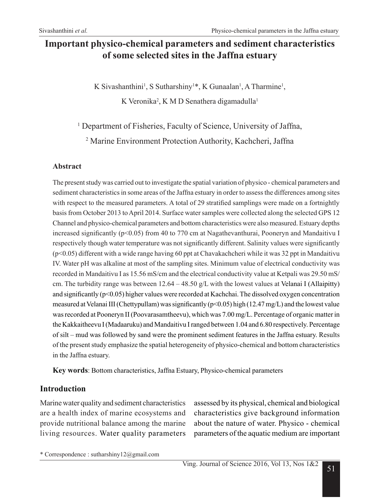# **Important physico-chemical parameters and sediment characteristics of some selected sites in the Jaffna estuary**

K Sivashanthini<sup>1</sup>, S Sutharshiny<sup>1\*</sup>, K Gunaalan<sup>1</sup>, A Tharmine<sup>1</sup>,

K Veronika<sup>2</sup>, K M D Senathera digamadulla<sup>1</sup>

<sup>1</sup> Department of Fisheries, Faculty of Science, University of Jaffna,

2 Marine Environment Protection Authority, Kachcheri, Jaffna

#### **Abstract**

The present study was carried out to investigate the spatial variation of physico - chemical parameters and sediment characteristics in some areas of the Jaffna estuary in order to assess the differences among sites with respect to the measured parameters. A total of 29 stratified samplings were made on a fortnightly basis from October 2013 to April 2014. Surface water samples were collected along the selected GPS 12 Channel and physico-chemical parameters and bottom characteristics were also measured. Estuary depths increased significantly (p<0.05) from 40 to 770 cm at Nagathevanthurai, Pooneryn and Mandaitivu I respectively though water temperature was not significantly different. Salinity values were significantly (p<0.05) different with a wide range having 60 ppt at Chavakachcheri while it was 32 ppt in Mandaitivu IV. Water pH was alkaline at most of the sampling sites. Minimum value of electrical conductivity was recorded in Mandaitivu I as 15.56 mS/cm and the electrical conductivity value at Ketpali was 29.50 mS/ cm. The turbidity range was between  $12.64 - 48.50$  g/L with the lowest values at Velanai I (Allaipitty) and significantly (p<0.05) higher values were recorded at Kachchai. The dissolved oxygen concentration measured at Velanai III (Chettypullam) was significantly ( $p<0.05$ ) high (12.47 mg/L) and the lowest value was recorded at Pooneryn II (Poovarasamtheevu), which was 7.00 mg/L. Percentage of organic matter in the Kakkaitheevu I (Madaaruku) and Mandaitivu I ranged between 1.04 and 6.80 respectively. Percentage of silt – mud was followed by sand were the prominent sediment features in the Jaffna estuary. Results of the present study emphasize the spatial heterogeneity of physico-chemical and bottom characteristics in the Jaffna estuary.

**Key words**: Bottom characteristics, Jaffna Estuary, Physico-chemical parameters

## **Introduction**

Marine water quality and sediment characteristics are a health index of marine ecosystems and provide nutritional balance among the marine living resources. Water quality parameters assessed by its physical, chemical and biological characteristics give background information about the nature of water. Physico - chemical parameters of the aquatic medium are important

\* Correspondence : sutharshiny12@gmail.com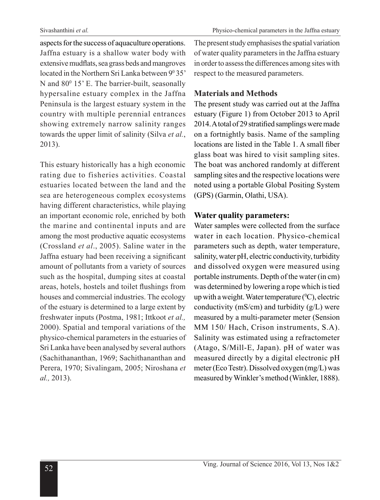aspects for the success of aquaculture operations. Jaffna estuary is a shallow water body with extensive mudflats, sea grass beds and mangroves located in the Northern Sri Lanka between 9<sup>0</sup>35' N and  $80^{\circ}$  15' E. The barrier-built, seasonally hypersaline estuary complex in the Jaffna Peninsula is the largest estuary system in the country with multiple perennial entrances showing extremely narrow salinity ranges towards the upper limit of salinity (Silva *et al.*, 2013).

This estuary historically has a high economic rating due to fisheries activities. Coastal estuaries located between the land and the sea are heterogeneous complex ecosystems having different characteristics, while playing an important economic role, enriched by both the marine and continental inputs and are among the most productive aquatic ecosystems (Crossland *et al*., 2005). Saline water in the Jaffna estuary had been receiving a significant amount of pollutants from a variety of sources such as the hospital, dumping sites at coastal areas, hotels, hostels and toilet flushings from houses and commercial industries. The ecology of the estuary is determined to a large extent by freshwater inputs (Postma, 1981; Ittkoot *et al.,* 2000). Spatial and temporal variations of the physico-chemical parameters in the estuaries of Sri Lanka have been analysed by several authors (Sachithananthan, 1969; Sachithananthan and Perera, 1970; Sivalingam, 2005; Niroshana *et al.,* 2013).

The present study emphasises the spatial variation of water quality parameters in the Jaffna estuary in order to assess the differences among sites with respect to the measured parameters.

## **Materials and Methods**

The present study was carried out at the Jaffna estuary (Figure 1) from October 2013 to April 2014. A total of 29 stratified samplings were made on a fortnightly basis. Name of the sampling locations are listed in the Table 1. A small fiber glass boat was hired to visit sampling sites. The boat was anchored randomly at different sampling sites and the respective locations were noted using a portable Global Positing System (GPS) (Garmin, Olathi, USA).

### **Water quality parameters:**

Water samples were collected from the surface water in each location. Physico-chemical parameters such as depth, water temperature, salinity, water pH, electric conductivity, turbidity and dissolved oxygen were measured using portable instruments. Depth of the water (in cm) was determined by lowering a rope which is tied up with a weight. Water temperature  $({}^{0}C)$ , electric conductivity ( $mS/cm$ ) and turbidity ( $g/L$ ) were measured by a multi-parameter meter (Sension MM 150/ Hach, Crison instruments, S.A). Salinity was estimated using a refractometer (Atago, S/Mill-E, Japan). pH of water was measured directly by a digital electronic pH meter (Eco Testr). Dissolved oxygen (mg/L) was measured by Winkler's method (Winkler, 1888).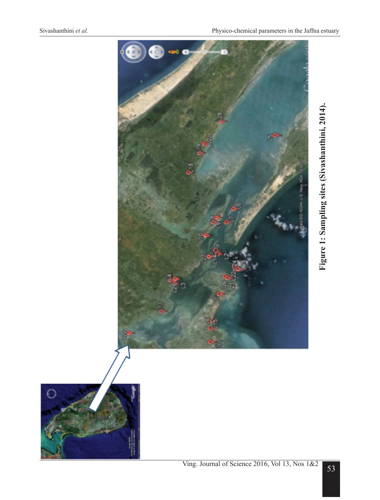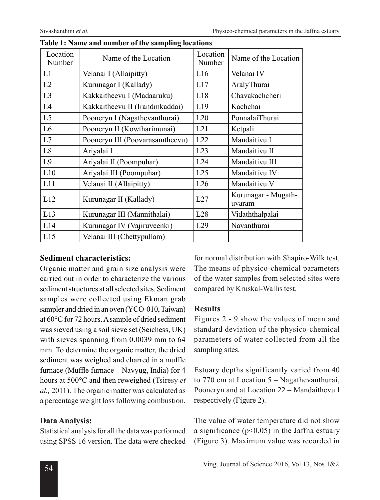| Location<br>Number | Name of the Location            | Location<br>Number | Name of the Location          |
|--------------------|---------------------------------|--------------------|-------------------------------|
| L1                 | Velanai I (Allaipitty)          | L16                | Velanai IV                    |
| L2                 | Kurunagar I (Kallady)           | L17                | AralyThurai                   |
| L <sub>3</sub>     | Kakkaitheevu I (Madaaruku)      | L18                | Chavakachcheri                |
| L4                 | Kakkaitheevu II (Irandmkaddai)  | L19                | Kachchai                      |
| L <sub>5</sub>     | Pooneryn I (Nagathevanthurai)   | L20                | PonnalaiThurai                |
| L <sub>6</sub>     | Pooneryn II (Kowtharimunai)     | L21                | Ketpali                       |
| L7                 | Pooneryn III (Poovarasamtheevu) | L22                | Mandaitivu I                  |
| L8                 | Ariyalai I                      | L23                | Mandaitivu II                 |
| L <sub>9</sub>     | Ariyalai II (Poompuhar)         | L24                | Mandaitivu III                |
| L10                | Ariyalai III (Poompuhar)        | L25                | Mandaitivu IV                 |
| L11                | Velanai II (Allaipitty)         | L26                | Mandaitivu V                  |
| L12                | Kurunagar II (Kallady)          | L27                | Kurunagar - Mugath-<br>uvaram |
| L13                | Kurunagar III (Mannithalai)     | L28                | Vidaththalpalai               |
| L14                | Kurunagar IV (Vajiruveenki)     | L29                | Navanthurai                   |
| L15                | Velanai III (Chettypullam)      |                    |                               |

#### **Table 1: Name and number of the sampling locations**

#### **Sediment characteristics:**

Organic matter and grain size analysis were carried out in order to characterize the various sediment structures at all selected sites. Sediment samples were collected using Ekman grab sampler and dried in an oven (YCO-010, Taiwan) at 60°C for 72 hours. A sample of dried sediment was sieved using a soil sieve set (Seichess, UK) with sieves spanning from 0.0039 mm to 64 mm. To determine the organic matter, the dried sediment was weighed and charred in a muffle furnace (Muffle furnace – Navyug, India) for 4 hours at 500°C and then reweighed (Tsiresy *et al.,* 2011). The organic matter was calculated as a percentage weight loss following combustion.

## **Data Analysis:**

Statistical analysis for all the data was performed using SPSS 16 version. The data were checked for normal distribution with Shapiro-Wilk test. The means of physico-chemical parameters of the water samples from selected sites were compared by Kruskal-Wallis test.

## **Results**

Figures 2 - 9 show the values of mean and standard deviation of the physico-chemical parameters of water collected from all the sampling sites.

Estuary depths significantly varied from 40 to 770 cm at Location 5 – Nagathevanthurai, Pooneryn and at Location 22 – Mandaithevu I respectively (Figure 2).

The value of water temperature did not show a significance ( $p<0.05$ ) in the Jaffna estuary (Figure 3). Maximum value was recorded in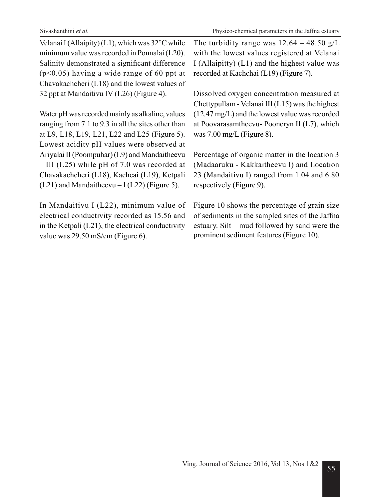Velanai I (Allaipity) (L1), which was 32°C while minimum value was recorded in Ponnalai (L20). Salinity demonstrated a significant difference (p<0.05) having a wide range of 60 ppt at Chavakachcheri (L18) and the lowest values of 32 ppt at Mandaitivu IV (L26) (Figure 4).

Water pH was recorded mainly as alkaline, values ranging from 7.1 to 9.3 in all the sites other than at L9, L18, L19, L21, L22 and L25 (Figure 5). Lowest acidity pH values were observed at Ariyalai II (Poompuhar) (L9) and Mandaitheevu – III (L25) while pH of 7.0 was recorded at Chavakachcheri (L18), Kachcai (L19), Ketpali  $(L21)$  and Mandaitheevu – I (L22) (Figure 5).

In Mandaitivu I (L22), minimum value of electrical conductivity recorded as 15.56 and in the Ketpali (L21), the electrical conductivity value was 29.50 mS/cm (Figure 6).

The turbidity range was  $12.64 - 48.50$  g/L with the lowest values registered at Velanai I (Allaipitty) (L1) and the highest value was recorded at Kachchai (L19) (Figure 7).

Dissolved oxygen concentration measured at Chettypullam - Velanai III (L15) was the highest (12.47 mg/L) and the lowest value was recorded at Poovarasamtheevu- Pooneryn II (L7), which was  $7.00 \text{ mg/L}$  (Figure 8).

Percentage of organic matter in the location 3 (Madaaruku - Kakkaitheevu I) and Location 23 (Mandaitivu I) ranged from 1.04 and 6.80 respectively (Figure 9).

Figure 10 shows the percentage of grain size of sediments in the sampled sites of the Jaffna estuary. Silt – mud followed by sand were the prominent sediment features (Figure 10).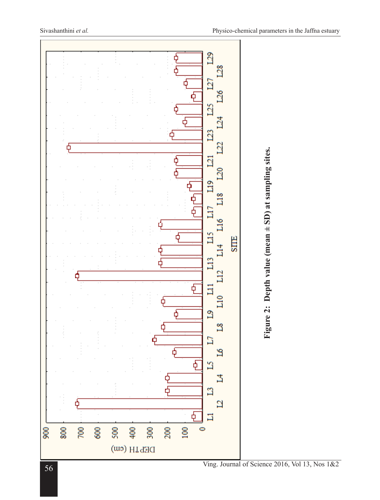

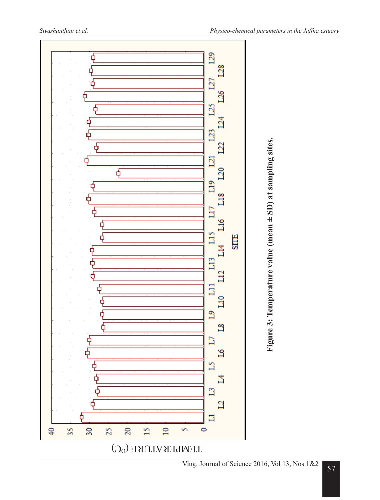

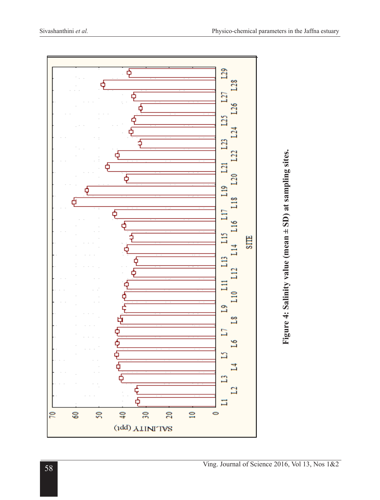

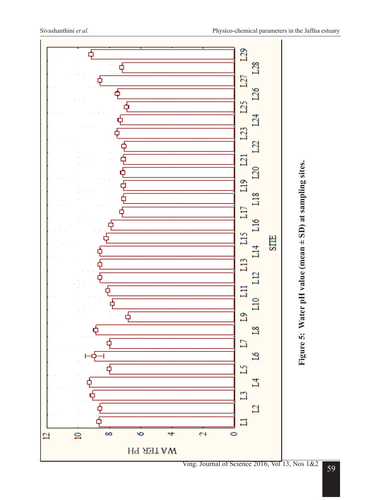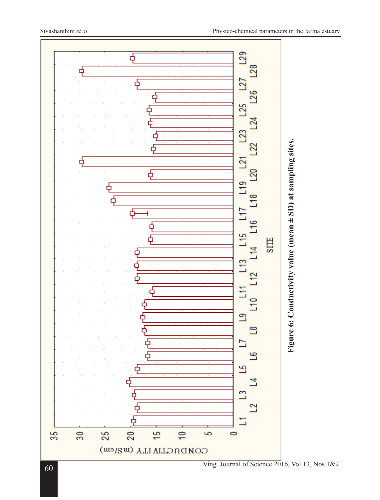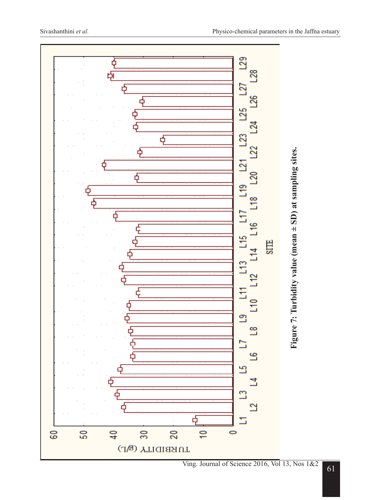

Ving. Journal of Science 2016, Vol 13, Nos 1&2 61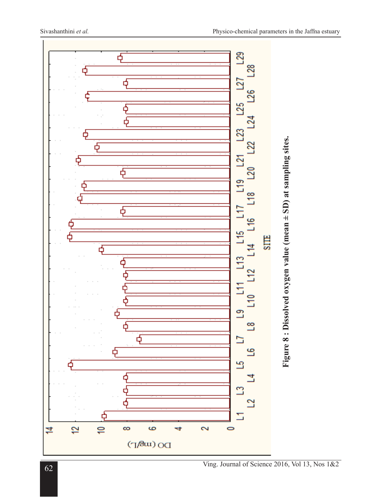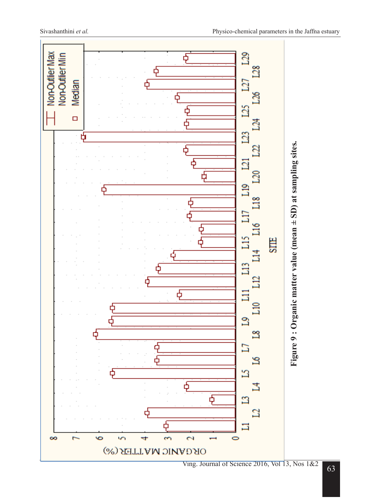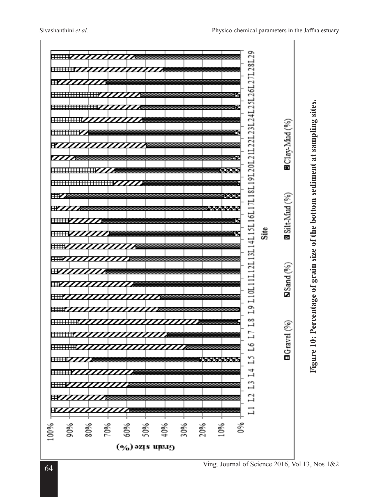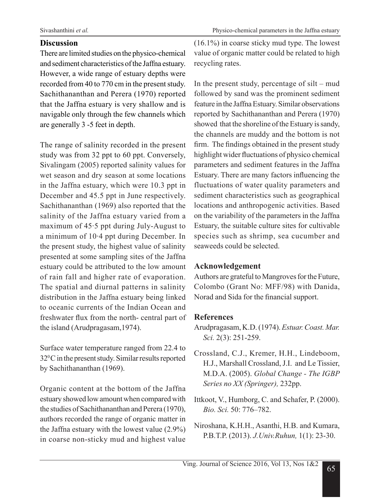## **Discussion**

There are limited studies on the physico-chemical and sediment characteristics of the Jaffna estuary. However, a wide range of estuary depths were recorded from 40 to 770 cm in the present study. Sachithananthan and Perera (1970) reported that the Jaffna estuary is very shallow and is navigable only through the few channels which are generally 3 -5 feet in depth.

The range of salinity recorded in the present study was from 32 ppt to 60 ppt. Conversely, Sivalingam (2005) reported salinity values for wet season and dry season at some locations in the Jaffna estuary, which were 10.3 ppt in December and 45.5 ppt in June respectively. Sachithananthan (1969) also reported that the salinity of the Jaffna estuary varied from a maximum of 45·5 ppt during July-August to a minimum of 10·4 ppt during December. In the present study, the highest value of salinity presented at some sampling sites of the Jaffna estuary could be attributed to the low amount of rain fall and higher rate of evaporation. The spatial and diurnal patterns in salinity distribution in the Jaffna estuary being linked to oceanic currents of the Indian Ocean and freshwater flux from the north- central part of the island (Arudpragasam,1974).

Surface water temperature ranged from 22.4 to 320 C in the present study. Similar results reported by Sachithananthan (1969).

Organic content at the bottom of the Jaffna estuary showed low amount when compared with the studies of Sachithananthan and Perera (1970), authors recorded the range of organic matter in the Jaffna estuary with the lowest value (2.9%) in coarse non-sticky mud and highest value

(16.1%) in coarse sticky mud type. The lowest value of organic matter could be related to high recycling rates.

In the present study, percentage of silt – mud followed by sand was the prominent sediment feature in the Jaffna Estuary. Similar observations reported by Sachithananthan and Perera (1970) showed that the shoreline of the Estuary is sandy, the channels are muddy and the bottom is not firm. The findings obtained in the present study highlight wider fluctuations of physico chemical parameters and sediment features in the Jaffna Estuary. There are many factors influencing the fluctuations of water quality parameters and sediment characteristics such as geographical locations and anthropogenic activities. Based on the variability of the parameters in the Jaffna Estuary, the suitable culture sites for cultivable species such as shrimp, sea cucumber and seaweeds could be selected.

## **Acknowledgement**

Authors are grateful to Mangroves for the Future, Colombo (Grant No: MFF/98) with Danida, Norad and Sida for the financial support.

## **References**

- Arudpragasam, K.D. (1974). *Estuar. Coast. Mar. Sci.* 2(3): 251-259.
- Crossland, C.J., Kremer, H.H., Lindeboom, H.J., Marshall Crossland, J.I. and Le Tissier, M.D.A. (2005). *Global Change - The IGBP Series no XX (Springer),* 232pp.
- Ittkoot, V., Humborg, C. and Schafer, P. (2000). *Bio. Sci.* 50: 776–782.
- Niroshana, K.H.H., Asanthi, H.B. and Kumara, P.B.T.P. (2013). *J.Univ.Ruhun,* 1(1): 23-30.